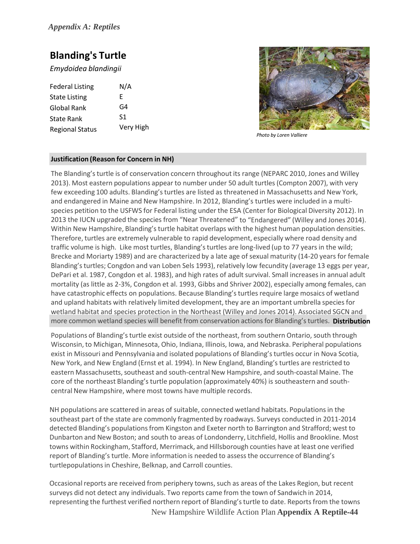# **Blanding's Turtle**

*Emydoidea blandingii*

| <b>Federal Listing</b> | N/A       |
|------------------------|-----------|
| <b>State Listing</b>   | F         |
| Global Rank            | G4        |
| State Rank             | S1        |
| <b>Regional Status</b> | Very High |



 *Photo by Loren Valliere*

## **Justification (Reason for Concern in NH)**

The Blanding's turtle is of conservation concern throughout its range (NEPARC 2010, Jones and Willey 2013). Most eastern populations appear to number under 50 adult turtles (Compton 2007), with very few exceeding 100 adults. Blanding's turtles are listed as threatened in Massachusetts and New York, and endangered in Maine and New Hampshire. In 2012, Blanding's turtles were included in a multispecies petition to the USFWS for Federal listing under the ESA (Center for Biological Diversity 2012). In 2013 the IUCN upgraded the species from "Near Threatened" to "Endangered" (Willey and Jones 2014). Within New Hampshire, Blanding'sturtle habitat overlaps with the highest human population densities. Therefore, turtles are extremely vulnerable to rapid development, especially where road density and traffic volume is high. Like most turtles, Blanding'sturtles are long‐lived (up to 77 years in the wild; Brecke and Moriarty 1989) and are characterized by a late age of sexual maturity (14‐20 years for female Blanding's turtles; Congdon and van Loben Sels 1993), relatively low fecundity (average 13 eggs per year, DePari et al. 1987, Congdon et al. 1983), and high rates of adult survival. Small increasesin annual adult mortality (as little as 2‐3%, Congdon et al. 1993, Gibbs and Shriver 2002), especially among females, can have catastrophic effects on populations. Because Blanding'sturtles require large mosaics of wetland and upland habitats with relatively limited development, they are an important umbrella species for wetland habitat and species protection in the Northeast (Willey and Jones 2014). Associated SGCN and more common wetland species will benefit from conservation actions for Blanding'sturtles. **Distribution**

Populations of Blanding'sturtle exist outside of the northeast, from southern Ontario, south through Wisconsin, to Michigan, Minnesota, Ohio, Indiana, Illinois, Iowa, and Nebraska. Peripheral populations exist in Missouri and Pennsylvania and isolated populations of Blanding's turtles occur in Nova Scotia, New York, and New England (Ernst et al. 1994). In New England, Blanding's turtles are restricted to eastern Massachusetts, southeast and south-central New Hampshire, and south-coastal Maine. The core of the northeast Blanding's turtle population (approximately 40%) is southeastern and south‐ central New Hampshire, where most towns have multiple records.

NH populations are scattered in areas of suitable, connected wetland habitats. Populationsin the southeast part of the state are commonly fragmented by roadways. Surveys conducted in 2011‐2014 detected Blanding's populations from Kingston and Exeter north to Barrington and Strafford; west to Dunbarton and New Boston; and south to areas of Londonderry, Litchfield, Hollis and Brookline. Most towns within Rockingham, Stafford, Merrimack, and Hillsborough counties have at least one verified report of Blanding's turtle. More information is needed to assess the occurrence of Blanding's turtlepopulations in Cheshire, Belknap, and Carroll counties.

New Hampshire Wildlife Action Plan **Appendix A Reptile**‐**44** Occasional reports are received from periphery towns, such as areas of the Lakes Region, but recent surveys did not detect any individuals. Two reports came from the town of Sandwich in 2014, representing the furthest verified northern report of Blanding's turtle to date. Reports from the towns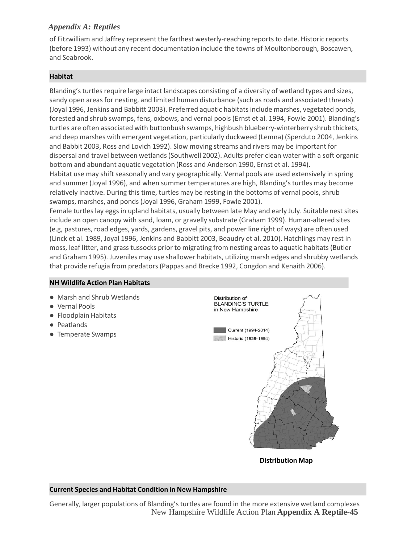of Fitzwilliam and Jaffrey represent the farthest westerly‐reaching reports to date. Historic reports (before 1993) without any recent documentation include the towns of Moultonborough, Boscawen, and Seabrook.

### **Habitat**

Blanding's turtles require large intact landscapes consisting of a diversity of wetland types and sizes, sandy open areas for nesting, and limited human disturbance (such as roads and associated threats) (Joyal 1996, Jenkins and Babbitt 2003). Preferred aquatic habitats include marshes, vegetated ponds, forested and shrub swamps, fens, oxbows, and vernal pools (Ernst et al. 1994, Fowle 2001). Blanding's turtles are often associated with buttonbush swamps, highbush blueberry-winterberry shrub thickets, and deep marshes with emergent vegetation, particularly duckweed (Lemna) (Sperduto 2004, Jenkins and Babbit 2003, Ross and Lovich 1992). Slow moving streams and rivers may be important for dispersal and travel between wetlands(Southwell 2002). Adults prefer clean water with a soft organic bottom and abundant aquatic vegetation (Ross and Anderson 1990, Ernst et al. 1994). Habitat use may shift seasonally and vary geographically. Vernal pools are used extensively in spring

and summer (Joyal 1996), and when summer temperatures are high, Blanding's turtles may become relatively inactive. During this time, turtles may be resting in the bottoms of vernal pools, shrub swamps, marshes, and ponds (Joyal 1996, Graham 1999, Fowle 2001).

Female turtles lay eggs in upland habitats, usually between late May and early July. Suitable nest sites include an open canopy with sand, loam, or gravelly substrate (Graham 1999). Human‐altered sites (e.g, pastures, road edges, yards, gardens, gravel pits, and power line right of ways) are often used (Linck et al. 1989, Joyal 1996, Jenkins and Babbitt 2003, Beaudry et al. 2010). Hatchlings may rest in moss, leaf litter, and grass tussocks prior to migrating from nesting areas to aquatic habitats(Butler and Graham 1995). Juveniles may use shallower habitats, utilizing marsh edges and shrubby wetlands that provide refugia from predators(Pappas and Brecke 1992, Congdon and Kenaith 2006).

## **NH Wildlife Action Plan Habitats**

- Marsh and Shrub Wetlands
- Vernal Pools
- Floodplain Habitats
- Peatlands
- Temperate Swamps



**Distribution Map**

## **Current Species and Habitat Condition in New Hampshire**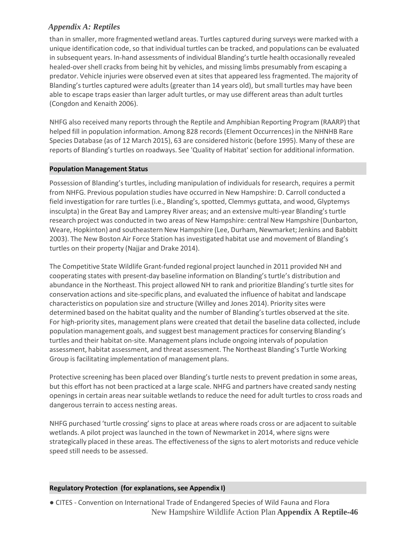than in smaller, more fragmented wetland areas. Turtles captured during surveys were marked with a unique identification code, so that individual turtles can be tracked, and populations can be evaluated in subsequent years. In-hand assessments of individual Blanding's turtle health occasionally revealed healed-over shell cracks from being hit by vehicles, and missing limbs presumably from escaping a predator. Vehicle injuries were observed even at sites that appeared less fragmented. The majority of Blanding's turtles captured were adults (greater than 14 years old), but small turtles may have been able to escape traps easier than larger adult turtles, or may use different areas than adult turtles (Congdon and Kenaith 2006).

NHFG also received many reports through the Reptile and Amphibian Reporting Program (RAARP) that helped fill in population information. Among 828 records (Element Occurrences) in the NHNHB Rare Species Database (as of 12 March 2015), 63 are considered historic (before 1995). Many of these are reports of Blanding's turtles on roadways. See 'Quality of Habitat'section for additional information.

## **Population Management Status**

Possession of Blanding's turtles, including manipulation of individuals for research, requires a permit from NHFG. Previous population studies have occurred in New Hampshire: D. Carroll conducted a field investigation for rare turtles (i.e., Blanding's, spotted, Clemmys guttata, and wood, Glyptemys insculpta) in the Great Bay and Lamprey River areas; and an extensive multi-year Blanding's turtle research project was conducted in two areas of New Hampshire: central New Hampshire (Dunbarton, Weare, Hopkinton) and southeastern New Hampshire (Lee, Durham, Newmarket; Jenkins and Babbitt 2003). The New Boston Air Force Station has investigated habitat use and movement of Blanding's turtles on their property (Najjar and Drake 2014).

The Competitive State Wildlife Grant‐funded regional project launched in 2011 provided NH and cooperating states with present-day baseline information on Blanding's turtle's distribution and abundance in the Northeast. This project allowed NH to rank and prioritize Blanding's turtle sites for conservation actions and site‐specific plans, and evaluated the influence of habitat and landscape characteristics on population size and structure (Willey and Jones 2014). Priority sites were determined based on the habitat quality and the number of Blanding'sturtles observed at the site. For high‐priority sites, management plans were created that detail the baseline data collected, include population management goals, and suggest best management practices for conserving Blanding's turtles and their habitat on‐site. Management plans include ongoing intervals of population assessment, habitat assessment, and threat assessment. The Northeast Blanding's Turtle Working Group is facilitating implementation of management plans.

Protective screening has been placed over Blanding's turtle nests to prevent predation in some areas, but this effort has not been practiced at a large scale. NHFG and partners have created sandy nesting openings in certain areas near suitable wetlands to reduce the need for adult turtles to cross roads and dangerous terrain to access nesting areas.

NHFG purchased 'turtle crossing' signs to place at areas where roads cross or are adjacent to suitable wetlands. A pilot project was launched in the town of Newmarket in 2014, where signs were strategically placed in these areas. The effectiveness of the signs to alert motorists and reduce vehicle speed still needs to be assessed.

## **Regulatory Protection (for explanations, see Appendix I)**

New Hampshire Wildlife Action Plan **Appendix A Reptile**‐**46** ● CITES ‐ Convention on International Trade of Endangered Species of Wild Fauna and Flora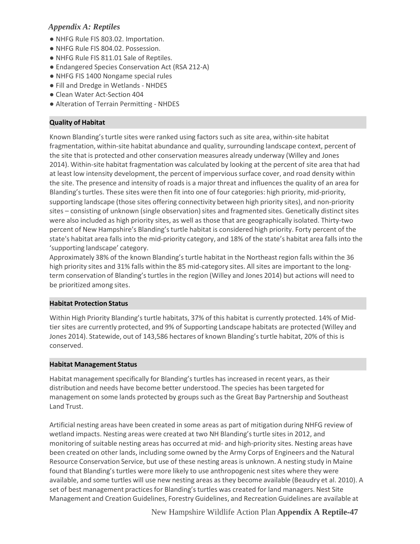- NHFG Rule FIS 803.02. Importation.
- NHFG Rule FIS 804.02. Possession.
- NHFG Rule FIS 811.01 Sale of Reptiles.
- Endangered Species Conservation Act (RSA 212-A)
- NHFG FIS 1400 Nongame special rules
- Fill and Dredge in Wetlands ‐ NHDES
- Clean Water Act-Section 404
- Alteration of Terrain Permitting NHDES

## **Quality of Habitat**

Known Blanding'sturtle sites were ranked using factors such as site area, within‐site habitat fragmentation, within‐site habitat abundance and quality, surrounding landscape context, percent of the site that is protected and other conservationmeasures already underway (Willey and Jones 2014). Within-site habitat fragmentation was calculated by looking at the percent of site area that had at least low intensity development, the percent of impervious surface cover, and road density within the site. The presence and intensity of roads is a major threat and influencesthe quality of an area for Blanding's turtles. These sites were then fit into one of four categories: high priority, mid-priority, supporting landscape (those sites offering connectivity between high priority sites), and non‐priority sites – consisting of unknown (single observation) sites and fragmented sites. Genetically distinct sites were also included as high priority sites, as well as those that are geographically isolated. Thirty-two percent of New Hampshire's Blanding'sturtle habitat is considered high priority. Forty percent of the state's habitat area falls into the mid‐priority category, and 18% of the state's habitat area falls into the 'supporting landscape' category.

Approximately 38% of the known Blanding's turtle habitat in the Northeast region falls within the 36 high priority sites and 31% falls within the 85 mid-category sites. All sites are important to the longterm conservation of Blanding'sturtles in the region (Willey and Jones 2014) but actions will need to be prioritized among sites.

## **Habitat Protection Status**

Within High Priority Blanding's turtle habitats, 37% of this habitat is currently protected. 14% of Midtier sites are currently protected, and 9% of Supporting Landscape habitats are protected (Willey and Jones 2014). Statewide, out of 143,586 hectares of known Blanding'sturtle habitat, 20% of this is conserved.

## **Habitat Management Status**

Habitat management specifically for Blanding's turtles has increased in recent years, as their distribution and needs have become better understood. The species has been targeted for management on some lands protected by groups such as the Great Bay Partnership and Southeast Land Trust.

Artificial nesting areas have been created in some areas as part of mitigation during NHFG review of wetland impacts. Nesting areas were created at two NH Blanding's turtle sites in 2012, and monitoring of suitable nesting areas has occurred at mid‐ and high‐priority sites. Nesting areas have been created on other lands, including some owned by the Army Corps of Engineers and the Natural Resource Conservation Service, but use of these nesting areas is unknown. A nesting study in Maine found that Blanding's turtles were more likely to use anthropogenic nest sites where they were available, and some turtles will use new nesting areas as they become available (Beaudry et al. 2010). A set of best management practices for Blanding's turtles was created for land managers. Nest Site Management and Creation Guidelines, Forestry Guidelines, and Recreation Guidelines are available a[t](http://www.blandingsturtle.org/)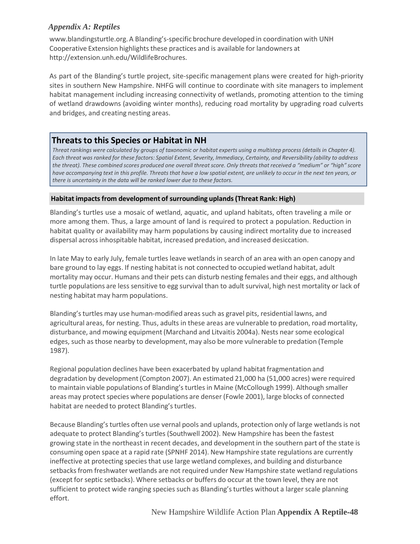[www.blandingsturtle.org.A](http://www.blandingsturtle.org/) Blanding's‐specific brochure developed in coordination with UNH Cooperative Extension highlights these practices and is available for landowners at [http://extension.unh.edu/WildlifeBrochures.](http://extension.unh.edu/WildlifeBrochures)

As part of the Blanding's turtle project, site‐specific management plans were created for high‐priority sites in southern New Hampshire. NHFG will continue to coordinate with site managers to implement habitat management including increasing connectivity of wetlands, promoting attention to the timing of wetland drawdowns (avoiding winter months), reducing road mortality by upgrading road culverts and bridges, and creating nesting areas.

## **Threatsto this Species or Habitat in NH**

Threat rankings were calculated by groups of taxonomic or habitat experts using a multistep process (details in Chapter 4). Each threat was ranked for these factors: Spatial Extent, Severity, Immediacy, Certainty, and Reversibility (ability to address the threat). These combined scores produced one overall threat score. Only threats that received a "medium" or "high" score have accompanying text in this profile. Threats that have a low spatial extent, are unlikely to occur in the next ten years, or *there is uncertainty in the data will be ranked lower due to these factors.*

## **Habitat impacts from development of surrounding uplands(Threat Rank: High)**

Blanding's turtles use a mosaic of wetland, aquatic, and upland habitats, often traveling a mile or more among them. Thus, a large amount of land is required to protect a population. Reduction in habitat quality or availability may harm populations by causing indirect mortality due to increased dispersal across inhospitable habitat, increased predation, and increased desiccation.

In late May to early July, female turtles leave wetlands in search of an area with an open canopy and bare ground to lay eggs. If nesting habitat is not connected to occupied wetland habitat, adult mortality may occur. Humans and their pets can disturb nesting females and their eggs, and although turtle populations are less sensitive to egg survival than to adult survival, high nest mortality or lack of nesting habitat may harm populations.

Blanding's turtles may use human-modified areas such as gravel pits, residential lawns, and agricultural areas, for nesting. Thus, adults in these areas are vulnerable to predation, road mortality, disturbance, and mowing equipment (Marchand and Litvaitis 2004a). Nests near some ecological edges, such as those nearby to development, may also be more vulnerable to predation (Temple 1987).

Regional population declines have been exacerbated by upland habitat fragmentation and degradation by development (Compton 2007). An estimated 21,000 ha (51,000 acres) were required to maintain viable populations of Blanding'sturtles in Maine (McCollough 1999). Although smaller areas may protect species where populations are denser (Fowle 2001), large blocks of connected habitat are needed to protect Blanding's turtles.

Because Blanding'sturtles often use vernal pools and uplands, protection only of large wetlands is not adequate to protect Blanding's turtles (Southwell 2002). New Hampshire has been the fastest growing state in the northeast in recent decades, and developmentin the southern part of the state is consuming open space at a rapid rate (SPNHF 2014). New Hampshire state regulations are currently ineffective at protecting species that use large wetland complexes, and building and disturbance setbacks from freshwater wetlands are not required under New Hampshire state wetland regulations (except for septic setbacks). Where setbacks or buffers do occur at the town level, they are not sufficient to protect wide ranging species such as Blanding's turtles without a larger scale planning effort.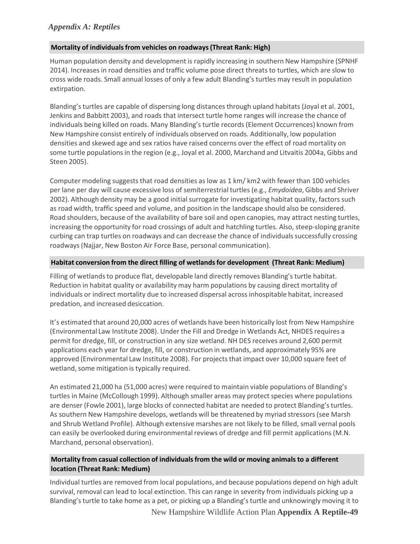## **Mortality of individualsfrom vehicles on roadways(Threat Rank: High)**

Human population density and developmentis rapidly increasing in southern New Hampshire (SPNHF 2014). Increases in road densities and traffic volume pose direct threats to turtles, which are slow to cross wide roads. Small annual losses of only a few adult Blanding's turtles may result in population extirpation.

Blanding's turtles are capable of dispersing long distances through upland habitats (Joyal et al. 2001, Jenkins and Babbitt 2003), and roads that intersect turtle home ranges will increase the chance of individuals being killed on roads. Many Blanding's turtle records (Element Occurrences) known from New Hampshire consist entirely of individuals observed on roads. Additionally, low population densities and skewed age and sex ratios have raised concerns over the effect of road mortality on some turtle populations in the region (e.g., Joyal et al. 2000, Marchand and Litvaitis 2004a, Gibbs and Steen 2005).

Computer modeling suggests that road densities as low as 1 km/ km2 with fewer than 100 vehicles per lane per day will cause excessive loss of semiterrestrialturtles (e.g., *Emydoidea*, Gibbs and Shriver 2002). Although density may be a good initial surrogate for investigating habitat quality, factors such as road width, traffic speed and volume, and position in the landscape should also be considered. Road shoulders, because of the availability of bare soil and open canopies, may attract nesting turtles, increasing the opportunity for road crossings of adult and hatchling turtles. Also, steep-sloping granite curbing can trap turtles on roadways and can decrease the chance of individuals successfully crossing roadways(Najjar, New Boston Air Force Base, personal communication).

## **Habitat conversion from the direct filling of wetlandsfor development (Threat Rank: Medium)**

Filling of wetlands to produce flat, developable land directly removes Blanding's turtle habitat. Reduction in habitat quality or availability may harm populations by causing direct mortality of individuals or indirect mortality due to increased dispersal across inhospitable habitat, increased predation, and increased desiccation.

It's estimated that around 20,000 acres of wetlands have been historically lost from New Hampshire (Environmental Law Institute 2008). Under the Fill and Dredge in Wetlands Act, NHDES requires a permit for dredge, fill, or construction in any size wetland. NH DES receives around 2,600 permit applications each year for dredge, fill, or construction in wetlands, and approximately 95% are approved (Environmental Law Institute 2008). For projects that impact over 10,000 square feet of wetland, some mitigation is typically required.

An estimated 21,000 ha (51,000 acres) were required to maintain viable populations of Blanding's turtles in Maine (McCollough 1999). Although smaller areas may protect species where populations are denser (Fowle 2001), large blocks of connected habitat are needed to protect Blanding's turtles. As southern New Hampshire develops, wetlands will be threatened by myriad stressors(see Marsh and Shrub Wetland Profile). Although extensive marshes are not likely to be filled, small vernal pools can easily be overlooked during environmental reviews of dredge and fill permit applications (M.N. Marchand, personal observation).

## **Mortality from casual collection of individualsfrom the wild or moving animals to a different location (Threat Rank: Medium)**

Individual turtles are removed from local populations, and because populations depend on high adult survival, removal can lead to local extinction. This can range in severity from individuals picking up a Blanding'sturtle to take home as a pet, or picking up a Blanding'sturtle and unknowingly moving it to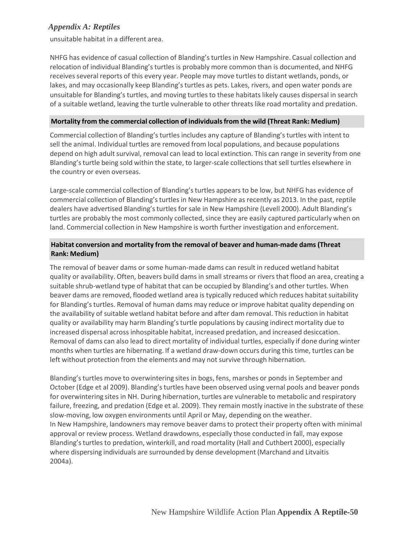unsuitable habitat in a different area.

NHFG has evidence of casual collection of Blanding's turtles in New Hampshire. Casual collection and relocation of individual Blanding's turtles is probably more common than is documented, and NHFG receives several reports of this every year. People may move turtles to distant wetlands, ponds, or lakes, and may occasionally keep Blanding's turtles as pets. Lakes, rivers, and open water ponds are unsuitable for Blanding's turtles, and moving turtles to these habitats likely causes dispersal in search of a suitable wetland, leaving the turtle vulnerable to other threats like road mortality and predation.

## **Mortality from the commercial collection of individualsfrom the wild (Threat Rank: Medium)**

Commercial collection of Blanding'sturtles includes any capture of Blanding'sturtles with intent to sell the animal. Individual turtles are removed from local populations, and because populations depend on high adult survival, removal can lead to local extinction. This can range in severity from one Blanding's turtle being sold within the state, to larger-scale collections that sell turtles elsewhere in the country or even overseas.

Large‐scale commercial collection of Blanding'sturtles appears to be low, but NHFG has evidence of commercial collection of Blanding'sturtles in New Hampshire as recently as 2013. In the past, reptile dealers have advertised Blanding's turtles for sale in New Hampshire (Levell 2000). Adult Blanding's turtles are probably the most commonly collected, since they are easily captured particularly when on land. Commercial collection in New Hampshire is worth further investigation and enforcement.

## **Habitat conversion and mortality from the removal of beaver and human‐made dams (Threat Rank: Medium)**

The removal of beaver dams or some human‐made dams can result in reduced wetland habitat quality or availability. Often, beavers build dams in small streams or rivers that flood an area, creating a suitable shrub‐wetland type of habitat that can be occupied by Blanding's and other turtles. When beaver dams are removed, flooded wetland area is typically reduced which reduces habitat suitability for Blanding'sturtles. Removal of human dams may reduce or improve habitat quality depending on the availability of suitable wetland habitat before and after dam removal. This reduction in habitat quality or availability may harm Blanding'sturtle populations by causing indirect mortality due to increased dispersal across inhospitable habitat, increased predation, and increased desiccation. Removal of dams can also lead to direct mortality of individual turtles, especially if done during winter months when turtles are hibernating. If a wetland draw‐down occurs during this time, turtles can be left without protection from the elements and may not survive through hibernation.

Blanding'sturtles move to overwintering sites in bogs, fens, marshes or ponds in September and October (Edge et al 2009). Blanding'sturtles have been observed using vernal pools and beaver ponds for overwintering sites in NH. During hibernation, turtles are vulnerable to metabolic and respiratory failure, freezing, and predation (Edge et al. 2009). They remain mostly inactive in the substrate of these slow-moving, low oxygen environments until April or May, depending on the weather. In New Hampshire, landowners may remove beaver dams to protect their property often with minimal approval or review process. Wetland drawdowns, especially those conducted in fall, may expose Blanding'sturtles to predation, winterkill, and road mortality (Hall and Cuthbert 2000), especially where dispersing individuals are surrounded by dense development(Marchand and Litvaitis 2004a).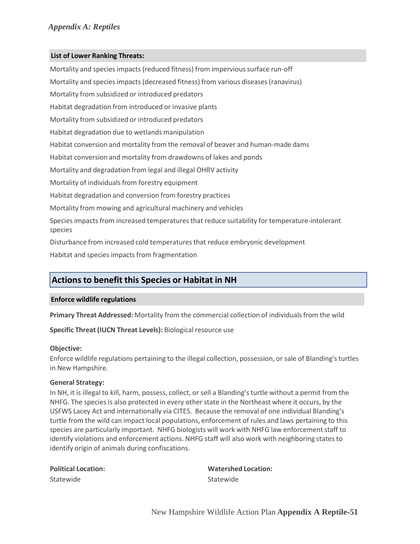### **List of Lower Ranking Threats:**

Mortality and species impacts (reduced fitness) from impervious surface run-off Mortality and species impacts (decreased fitness) from various diseases (ranavirus) Mortality from subsidized or introduced predators Habitat degradation from introduced or invasive plants Mortality from subsidized or introduced predators Habitat degradation due to wetlands manipulation Habitat conversion and mortality from the removal of beaver and human‐made dams Habitat conversion and mortality from drawdowns of lakes and ponds Mortality and degradation from legal and illegal OHRV activity Mortality of individuals from forestry equipment Habitat degradation and conversion from forestry practices Mortality from mowing and agricultural machinery and vehicles Species impacts from increased temperatures that reduce suitability for temperature-intolerant species Disturbance from increased cold temperaturesthat reduce embryonic development Habitat and species impacts from fragmentation

## **Actionsto benefit this Species or Habitat in NH**

#### **Enforce wildlife regulations**

**Primary Threat Addressed:** Mortality from the commercial collection of individuals from the wild

**Specific Threat (IUCN Threat Levels):** Biological resource use

#### **Objective:**

Enforce wildlife regulations pertaining to the illegal collection, possession, or sale of Blanding'sturtles in New Hampshire.

#### **General Strategy:**

In NH, it is illegal to kill, harm, possess, collect, or sell a Blanding's turtle without a permit from the NHFG. The species is also protected in every other state in the Northeast where it occurs, by the USFWS Lacey Act and internationally via CITES. Because the removal of one individual Blanding's turtle from the wild can impact local populations, enforcement of rules and laws pertaining to this species are particularly important. NHFG biologists will work with NHFG law enforcementstaff to identify violations and enforcement actions. NHFG staff will also work with neighboring states to identify origin of animals during confiscations.

| <b>Political Location:</b> | <b>Watershed Location:</b> |
|----------------------------|----------------------------|
| Statewide                  | Statewide                  |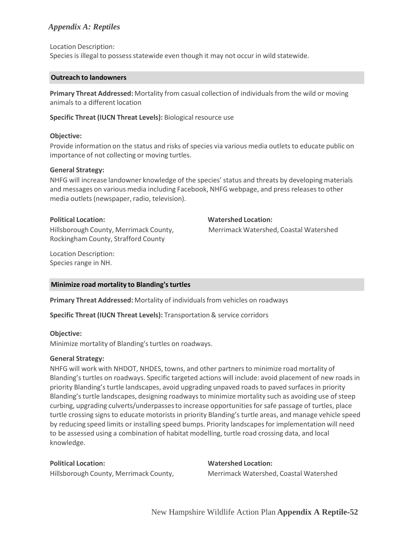Location Description:

Species is illegal to possessstatewide even though it may not occur in wild statewide.

#### **Outreach to landowners**

**Primary Threat Addressed:** Mortality from casual collection of individualsfrom the wild or moving animals to a different location

#### **Specific Threat (IUCN Threat Levels):** Biological resource use

### **Objective:**

Provide information on the status and risks of species via various media outlets to educate public on importance of not collecting or moving turtles.

#### **General Strategy:**

NHFG will increase landowner knowledge of the species' status and threats by developing materials and messages on various media including Facebook, NHFG webpage, and press releasesto other media outlets (newspaper, radio, television).

Hillsborough County, Merrimack County, Rockingham County, Strafford County

**Political Location: Watershed Location:**

Merrimack Watershed, Coastal Watershed

Location Description: Species range in NH.

## **Minimize road mortality to Blanding'sturtles**

**Primary Threat Addressed:** Mortality of individualsfrom vehicles on roadways

**Specific Threat (IUCN Threat Levels):** Transportation& service corridors

## **Objective:**

Minimize mortality of Blanding'sturtles on roadways.

#### **General Strategy:**

NHFG will work with NHDOT, NHDES, towns, and other partnersto minimize road mortality of Blanding's turtles on roadways. Specific targeted actions will include: avoid placement of new roads in priority Blanding'sturtle landscapes, avoid upgrading unpaved roads to paved surfaces in priority Blanding's turtle landscapes, designing roadways to minimize mortality such as avoiding use of steep curbing, upgrading culverts/underpassesto increase opportunitiesfor safe passage of turtles, place turtle crossing signs to educate motoristsin priority Blanding's turtle areas, and manage vehicle speed by reducing speed limits or installing speed bumps. Priority landscapesfor implementation will need to be assessed using a combination of habitat modelling, turtle road crossing data, and local knowledge.

## **Political Location: Watershed Location:**

Hillsborough County, Merrimack County, Merrimack Watershed, Coastal Watershed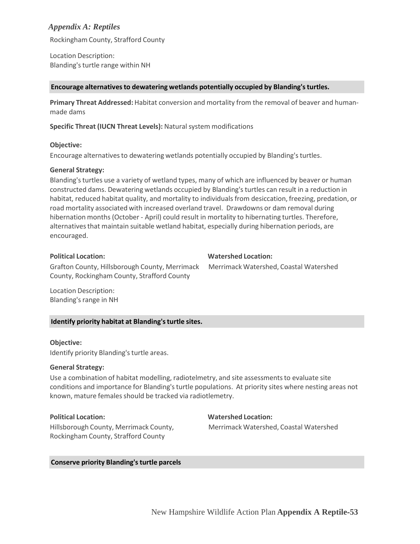Rockingham County, Strafford County

Location Description: Blanding'sturtle range within NH

#### **Encourage alternativesto dewatering wetlands potentially occupied by Blanding'sturtles.**

**Primary Threat Addressed:** Habitat conversion and mortality from the removal of beaver and human‐ made dams

**Specific Threat (IUCN Threat Levels):** Natural system modifications

#### **Objective:**

Encourage alternatives to dewatering wetlands potentially occupied by Blanding's turtles.

#### **General Strategy:**

Blanding's turtles use a variety of wetland types, many of which are influenced by beaver or human constructed dams. Dewatering wetlands occupied by Blanding'sturtles can result in a reduction in habitat, reduced habitat quality, and mortality to individuals from desiccation, freezing, predation, or road mortality associated with increased overland travel. Drawdowns or dam removal during hibernation months (October - April) could result in mortality to hibernating turtles. Therefore, alternatives that maintain suitable wetland habitat, especially during hibernation periods, are encouraged.

#### **Political Location: Watershed Location:**

Grafton County, Hillsborough County, Merrimack County, Rockingham County, Strafford County

Merrimack Watershed, Coastal Watershed

Location Description: Blanding's range in NH

## **Identify priority habitat at Blanding'sturtle sites.**

#### **Objective:**

Identify priority Blanding's turtle areas.

#### **General Strategy:**

Use a combination of habitat modelling, radiotelmetry, and site assessments to evaluate site conditions and importance for Blanding's turtle populations. At priority sites where nesting areas not known, mature females should be tracked via radiotlemetry.

### **Political Location: Watershed Location:**

Merrimack Watershed, Coastal Watershed

Hillsborough County, Merrimack County, Rockingham County, Strafford County

#### **Conserve priority Blanding'sturtle parcels**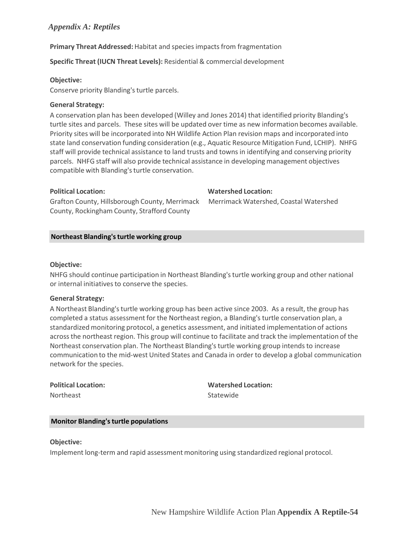## **Primary Threat Addressed:** Habitat and species impacts from fragmentation

**Specific Threat (IUCN Threat Levels):** Residential & commercial development

### **Objective:**

Conserve priority Blanding's turtle parcels.

#### **General Strategy:**

A conservation plan has been developed (Willey and Jones 2014) that identified priority Blanding's turtle sites and parcels. These sites will be updated over time as new information becomes available. Priority sites will be incorporated into NH Wildlife Action Plan revision maps and incorporated into state land conservation funding consideration (e.g., Aquatic Resource Mitigation Fund, LCHIP). NHFG staff will provide technical assistance to land trusts and towns in identifying and conserving priority parcels. NHFG staff will also provide technical assistance in developing management objectives compatible with Blanding'sturtle conservation.

## **Political Location: Watershed Location:**

Grafton County, Hillsborough County, Merrimack County, Rockingham County, Strafford County

Merrimack Watershed, Coastal Watershed

## **Northeast Blanding'sturtle working group**

#### **Objective:**

NHFG should continue participation in Northeast Blanding'sturtle working group and other national or internal initiatives to conserve the species.

## **General Strategy:**

A Northeast Blanding'sturtle working group has been active since 2003. As a result, the group has completed a status assessment for the Northeast region, a Blanding's turtle conservation plan, a standardized monitoring protocol, a genetics assessment, and initiated implementation of actions across the northeast region. This group will continue to facilitate and track the implementation of the Northeast conservation plan. The Northeast Blanding's turtle working group intends to increase communication to the mid‐west United States and Canada in order to develop a global communication network for the species.

Northeast **Statewide** 

**Political Location: Watershed Location:**

## **Monitor Blanding'sturtle populations**

**Objective:**

Implement long‐term and rapid assessment monitoring using standardized regional protocol.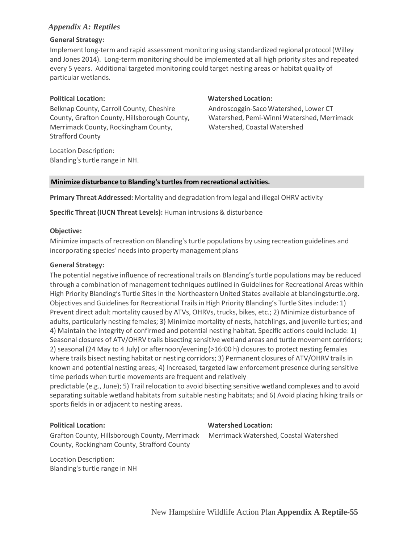## **General Strategy:**

Implement long‐term and rapid assessment monitoring using standardized regional protocol (Willey and Jones 2014). Long‐term monitoring should be implemented at all high priority sites and repeated every 5 years. Additional targeted monitoring could target nesting areas or habitat quality of particular wetlands.

Belknap County, Carroll County, Cheshire County, Grafton County, Hillsborough County, Merrimack County, Rockingham County, Strafford County

Location Description: Blanding'sturtle range in NH.

## **Political Location: Watershed Location:**

Androscoggin‐SacoWatershed, Lower CT Watershed, Pemi‐Winni Watershed, Merrimack Watershed, Coastal Watershed

## **Minimize disturbance to Blanding'sturtles from recreational activities.**

**Primary Threat Addressed:** Mortality and degradation from legal and illegal OHRV activity

**Specific Threat (IUCN Threat Levels):** Human intrusions & disturbance

## **Objective:**

Minimize impacts of recreation on Blanding'sturtle populations by using recreation guidelines and incorporating species' needs into property management plans

## **General Strategy:**

The potential negative influence of recreational trails on Blanding'sturtle populations may be reduced through a combination of management techniques outlined in Guidelines for Recreational Areas within High Priority Blanding's Turtle Sites in the Northeastern United States available at blandingsturtle.org. Objectives and Guidelinesfor Recreational Trails in High Priority Blanding's Turtle Sites include: 1) Prevent direct adult mortality caused by ATVs, OHRVs, trucks, bikes, etc.; 2) Minimize disturbance of adults, particularly nesting females; 3) Minimize mortality of nests, hatchlings, and juvenile turtles; and 4) Maintain the integrity of confirmed and potential nesting habitat. Specific actions could include: 1) Seasonal closures of ATV/OHRV trails bisecting sensitive wetland areas and turtle movement corridors; 2) seasonal (24 May to 4 July) or afternoon/evening (>16:00 h) closures to protect nesting females where trails bisect nesting habitat or nesting corridors; 3) Permanent closures of ATV/OHRV trails in known and potential nesting areas; 4) Increased, targeted law enforcement presence during sensitive time periods when turtle movements are frequent and relatively

predictable (e.g., June); 5) Trail relocation to avoid bisecting sensitive wetland complexes and to avoid separating suitable wetland habitats from suitable nesting habitats; and 6) Avoid placing hiking trails or sports fields in or adjacent to nesting areas.

**Political Location: Watershed Location:**

Grafton County, Hillsborough County, Merrimack County, Rockingham County, Strafford County

Merrimack Watershed, Coastal Watershed

Location Description: Blanding'sturtle range in NH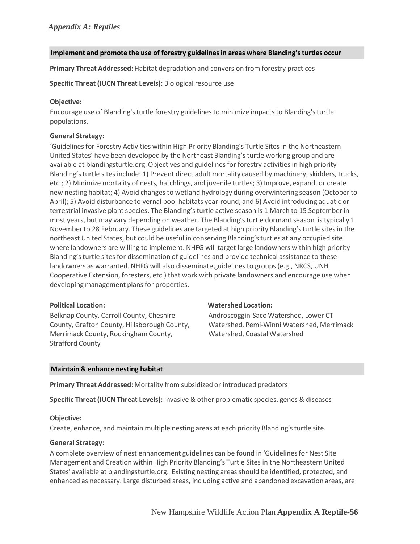## **Implement and promote the use of forestry guidelinesin areas where Blanding'sturtles occur**

**Primary Threat Addressed:** Habitat degradation and conversion from forestry practices

**Specific Threat (IUCN Threat Levels):** Biological resource use

## **Objective:**

Encourage use of Blanding's turtle forestry guidelinesto minimize impacts to Blanding'sturtle populations.

## **General Strategy:**

'Guidelines for Forestry Activities within High Priority Blanding's Turtle Sites in the Northeastern United States' have been developed by the Northeast Blanding'sturtle working group and are available at blandingsturtle.org. Objectives and guidelines for forestry activities in high priority Blanding's turtle sites include: 1) Prevent direct adult mortality caused by machinery, skidders, trucks, etc.; 2) Minimize mortality of nests, hatchlings, and juvenile turtles; 3) Improve, expand, or create new nesting habitat; 4) Avoid changes to wetland hydrology during overwintering season (October to April); 5) Avoid disturbance to vernal pool habitats year‐round; and 6) Avoid introducing aquatic or terrestrial invasive plant species. The Blanding's turtle active season is 1 March to 15 September in most years, but may vary depending on weather. The Blanding's turtle dormant season is typically 1 November to 28 February. These guidelines are targeted at high priority Blanding'sturtle sites in the northeast United States, but could be useful in conserving Blanding'sturtles at any occupied site where landowners are willing to implement. NHFG will target large landowners within high priority Blanding's turtle sites for dissemination of guidelines and provide technical assistance to these landowners as warranted. NHFG will also disseminate guidelines to groups (e.g., NRCS, UNH Cooperative Extension, foresters, etc.) that work with private landowners and encourage use when developing management plans for properties.

Belknap County, Carroll County, Cheshire County, Grafton County, Hillsborough County, Merrimack County, Rockingham County, Strafford County

#### **Political Location: Watershed Location:**

Androscoggin‐SacoWatershed, Lower CT Watershed, Pemi‐Winni Watershed, Merrimack Watershed, Coastal Watershed

## **Maintain & enhance nesting habitat**

**Primary Threat Addressed:** Mortality from subsidized or introduced predators

**Specific Threat (IUCN Threat Levels):** Invasive & other problematic species, genes & diseases

## **Objective:**

Create, enhance, and maintain multiple nesting areas at each priority Blanding's turtle site.

#### **General Strategy:**

A complete overview of nest enhancement guidelines can be found in 'Guidelinesfor Nest Site Management and Creation within High Priority Blanding's Turtle Sites in the Northeastern United States' available at blandingsturtle.org. Existing nesting areas should be identified, protected, and enhanced as necessary. Large disturbed areas, including active and abandoned excavation areas, are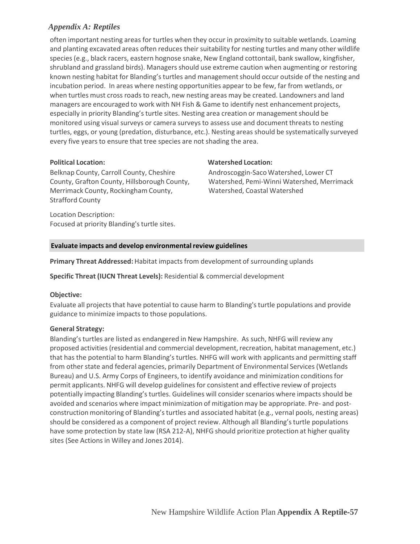often important nesting areas for turtles when they occur in proximity to suitable wetlands. Loaming and planting excavated areas often reduces their suitability for nesting turtles and many other wildlife species (e.g., black racers, eastern hognose snake, New England cottontail, bank swallow, kingfisher, shrubland and grassland birds). Managers should use extreme caution when augmenting or restoring known nesting habitat for Blanding's turtles and managementshould occur outside of the nesting and incubation period. In areas where nesting opportunities appear to be few, far from wetlands, or when turtles must cross roads to reach, new nesting areas may be created. Landowners and land managers are encouraged to work with NH Fish & Game to identify nest enhancement projects, especially in priority Blanding's turtle sites. Nesting area creation or managementshould be monitored using visual surveys or camera surveys to assess use and document threats to nesting turtles, eggs, or young (predation, disturbance, etc.). Nesting areas should be systematically surveyed every five years to ensure that tree species are not shading the area.

Belknap County, Carroll County, Cheshire County, Grafton County, Hillsborough County, Merrimack County, Rockingham County, Strafford County

Location Description: Focused at priority Blanding's turtle sites.

## **Political Location: Watershed Location:**

Androscoggin‐SacoWatershed, Lower CT Watershed, Pemi‐Winni Watershed, Merrimack Watershed, Coastal Watershed

## **Evaluate impacts and develop environmentalreview guidelines**

**Primary Threat Addressed:** Habitat impacts from development of surrounding uplands

**Specific Threat (IUCN Threat Levels):** Residential & commercial development

## **Objective:**

Evaluate all projects that have potential to cause harm to Blanding's turtle populations and provide guidance to minimize impacts to those populations.

## **General Strategy:**

Blanding's turtles are listed as endangered in New Hampshire. As such, NHFG will review any proposed activities (residential and commercial development, recreation, habitat management, etc.) that has the potential to harm Blanding's turtles. NHFG will work with applicants and permitting staff from other state and federal agencies, primarily Department of Environmental Services (Wetlands Bureau) and U.S. Army Corps of Engineers, to identify avoidance and minimization conditionsfor permit applicants. NHFG will develop guidelines for consistent and effective review of projects potentially impacting Blanding's turtles. Guidelines will consider scenarios where impacts should be avoided and scenarios where impact minimization of mitigation may be appropriate. Pre- and postconstruction monitoring of Blanding'sturtles and associated habitat (e.g., vernal pools, nesting areas) should be considered as a component of project review. Although all Blanding'sturtle populations have some protection by state law (RSA 212-A), NHFG should prioritize protection at higher quality sites (See Actions in Willey and Jones 2014).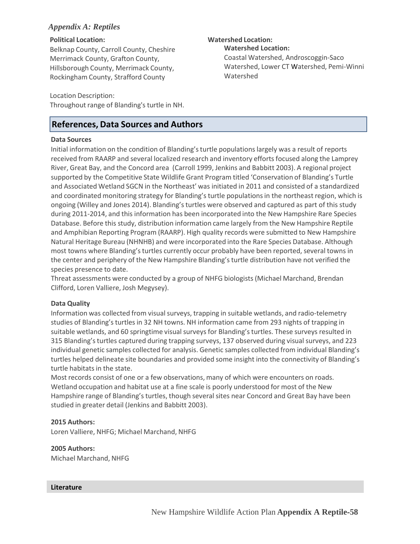## **Political Location: Watershed Location:**

Belknap County, Carroll County, Cheshire Merrimack County, Grafton County, Hillsborough County, Merrimack County, Rockingham County, Strafford County

Location Description:

Throughout range of Blanding's turtle in NH.

## **References, Data Sources and Authors**

## **Data Sources**

Initial information on the condition of Blanding'sturtle populationslargely was a result of reports received from RAARP and several localized research and inventory efforts focused along the Lamprey River, Great Bay, and the Concord area (Carroll 1999, Jenkins and Babbitt 2003). A regional project supported by the Competitive State Wildlife Grant Program titled 'Conservation of Blanding's Turtle and Associated Wetland SGCN in the Northeast' was initiated in 2011 and consisted of a standardized and coordinated monitoring strategy for Blanding's turtle populationsin the northeast region, which is ongoing (Willey and Jones 2014). Blanding'sturtles were observed and captured as part of this study during 2011-2014, and this information has been incorporated into the New Hampshire Rare Species Database. Before this study, distribution information came largely from the New Hampshire Reptile and Amphibian Reporting Program (RAARP). High quality records were submitted to New Hampshire Natural Heritage Bureau (NHNHB) and were incorporated into the Rare Species Database. Although most towns where Blanding'sturtles currently occur probably have been reported, several towns in the center and periphery of the New Hampshire Blanding'sturtle distribution have not verified the species presence to date.

Threat assessments were conducted by a group of NHFG biologists(Michael Marchand, Brendan Clifford, Loren Valliere, Josh Megysey).

## **Data Quality**

Information was collected from visual surveys, trapping in suitable wetlands, and radio-telemetry studies of Blanding'sturtles in 32 NH towns. NH information came from 293 nights of trapping in suitable wetlands, and 60 springtime visual surveys for Blanding's turtles. These surveys resulted in 315 Blanding'sturtles captured during trapping surveys, 137 observed during visual surveys, and 223 individual genetic samples collected for analysis. Genetic samples collected from individual Blanding's turtles helped delineate site boundaries and provided some insight into the connectivity of Blanding's turtle habitats in the state.

Most records consist of one or a few observations, many of which were encounters on roads. Wetland occupation and habitat use at a fine scale is poorly understood for most of the New Hampshire range of Blanding's turtles, though several sites near Concord and Great Bay have been studied in greater detail (Jenkins and Babbitt 2003).

## **2015 Authors:**

Loren Valliere, NHFG; Michael Marchand, NHFG

## **2005 Authors:**

Michael Marchand, NHFG

## **Literature**

**Watershed Location:** Coastal Watershed, Androscoggin‐Saco Watershed, Lower CT Watershed, Pemi‐Winni Watershed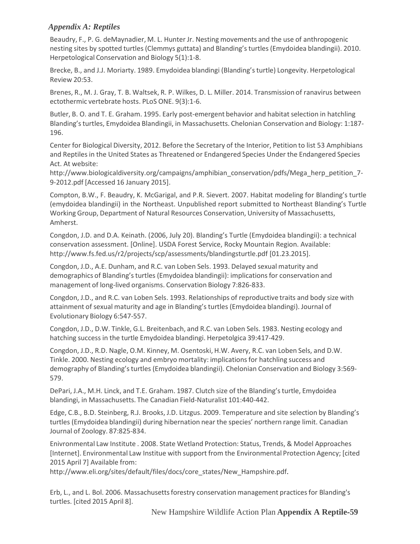Beaudry, F., P. G. deMaynadier, M. L. Hunter Jr. Nesting movements and the use of anthropogenic nesting sites by spotted turtles (Clemmys guttata) and Blanding'sturtles (Emydoidea blandingii). 2010. Herpetological Conservation and Biology 5(1):1‐8.

Brecke, B., and J.J. Moriarty. 1989. Emydoidea blandingi (Blanding'sturtle) Longevity. Herpetological Review 20:53.

Brenes, R., M. J. Gray, T. B. Waltsek, R. P. Wilkes, D. L. Miller. 2014. Transmission of ranavirus between ectothermic vertebrate hosts. PLoS ONE. 9(3):1‐6.

Butler, B. O. and T. E. Graham. 1995. Early post-emergent behavior and habitat selection in hatchling Blanding's turtles, Emydoidea Blandingii, in Massachusetts. Chelonian Conservation and Biology: 1:187-196.

Center for Biological Diversity, 2012. Before the Secretary of the Interior, Petition to list 53 Amphibians and Reptiles in the United States as Threatened or Endangered Species Under the Endangered Species Act. At website[:](http://www.biologicaldiversity.org/campaigns/amphibian_conservation/pdfs/Mega_herp_petition_7)

[http://www.biologicaldiversity.org/campaigns/amphibian\\_conservation/pdfs/Mega\\_herp\\_petition\\_7](http://www.biologicaldiversity.org/campaigns/amphibian_conservation/pdfs/Mega_herp_petition_7)‐ 9‐2012.pdf [Accessed 16 January 2015].

Compton, B.W., F. Beaudry, K. McGarigal, and P.R. Sievert. 2007. Habitat modeling for Blanding's turtle (emydoidea blandingii) in the Northeast. Unpublished report submitted to Northeast Blanding's Turtle Working Group, Department of Natural Resources Conservation, University of Massachusetts, Amherst.

Congdon, J.D. and D.A. Keinath. (2006, July 20). Blanding's Turtle (Emydoidea blandingii): a technical conservation assessment. [Online]. USDA Forest Service, Rocky Mountain Region. Available[:](http://www.fs.fed.us/r2/projects/scp/assessments/blandingsturtle.pdf) [http://www.fs.fed.us/r2/projects/scp/assessments/blandingsturtle.pdf \[](http://www.fs.fed.us/r2/projects/scp/assessments/blandingsturtle.pdf)01.23.2015].

Congdon, J.D., A.E. Dunham, and R.C. van Loben Sels. 1993. Delayed sexual maturity and demographics of Blanding'sturtles (Emydoidea blandingii): implicationsfor conservation and management of long‐lived organisms. Conservation Biology 7:826‐833.

Congdon, J.D., and R.C. van Loben Sels. 1993. Relationships of reproductive traits and body size with attainment of sexual maturity and age in Blanding's turtles (Emydoidea blandingi). Journal of Evolutionary Biology 6:547‐557.

Congdon, J.D., D.W. Tinkle, G.L. Breitenbach, and R.C. van Loben Sels. 1983. Nesting ecology and hatching success in the turtle Emydoidea blandingi. Herpetolgica 39:417‐429.

Congdon, J.D., R.D. Nagle, O.M. Kinney, M. Osentoski, H.W. Avery, R.C. van Loben Sels, and D.W. Tinkle. 2000. Nesting ecology and embryo mortality: implicationsfor hatchling success and demography of Blanding'sturtles (Emydoidea blandingii). Chelonian Conservation and Biology 3:569‐ 579.

DePari, J.A., M.H. Linck, and T.E. Graham. 1987. Clutch size of the Blanding'sturtle, Emydoidea blandingi, in Massachusetts. The Canadian Field‐Naturalist 101:440‐442.

Edge, C.B., B.D. Steinberg, R.J. Brooks, J.D. Litzgus. 2009. Temperature and site selection by Blanding's turtles (Emydoidea blandingii) during hibernation near the species' northern range limit. Canadian Journal of Zoology. 87:825‐834.

Enivronmental Law Institute . 2008. State Wetland Protection: Status, Trends, & Model Approaches [Internet]. Environmental Law Institue with support from the Environmental Protection Agency; [cited 2015 April 7] Available from:

[http://www.eli.org/sites/default/files/docs/core\\_states/New\\_Hampshire.pdf.](http://www.eli.org/sites/default/files/docs/core_states/New_Hampshire.pdf)

Erb, L., and L. Bol. 2006. Massachusetts forestry conservation management practices for Blanding's turtles. [cited 2015 April 8].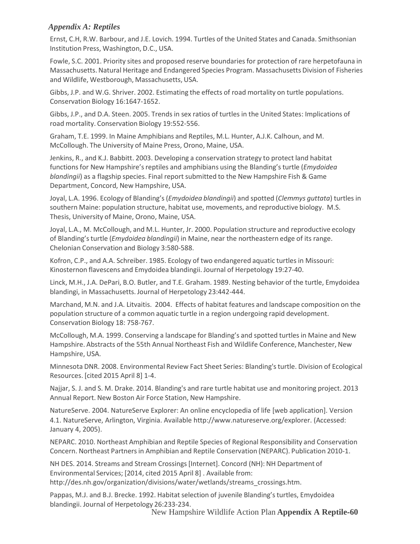Ernst, C.H, R.W. Barbour, and J.E. Lovich. 1994. Turtles of the United States and Canada. Smithsonian Institution Press, Washington, D.C., USA.

Fowle, S.C. 2001. Priority sites and proposed reserve boundariesfor protection of rare herpetofauna in Massachusetts.Natural Heritage and Endangered Species Program. Massachusetts Division of Fisheries and Wildlife, Westborough, Massachusetts, USA.

Gibbs, J.P. and W.G. Shriver. 2002. Estimating the effects of road mortality on turtle populations. Conservation Biology 16:1647‐1652.

Gibbs, J.P., and D.A. Steen. 2005. Trends in sex ratios of turtles in the United States: Implications of road mortality. Conservation Biology 19:552‐556.

Graham, T.E. 1999. In Maine Amphibians and Reptiles, M.L. Hunter, A.J.K. Calhoun, and M. McCollough. The University of Maine Press, Orono, Maine, USA.

Jenkins, R., and K.J. Babbitt. 2003. Developing a conservation strategy to protect land habitat functions for New Hampshire's reptiles and amphibians using the Blanding's turtle (*Emydoidea blandingii*) as a flagship species. Final report submitted to the New Hampshire Fish & Game Department, Concord, New Hampshire, USA.

Joyal, L.A. 1996. Ecology of Blanding's(*Emydoidea blandingii*) and spotted (*Clemmys guttata*) turtles in southern Maine: population structure, habitat use, movements, and reproductive biology. M.S. Thesis, University of Maine, Orono, Maine, USA.

Joyal, L.A., M. McCollough, and M.L. Hunter, Jr. 2000. Population structure and reproductive ecology of Blanding'sturtle (*Emydoidea blandingii*) in Maine, near the northeastern edge of its range. Chelonian Conservation and Biology 3:580‐588.

Kofron, C.P., and A.A. Schreiber. 1985. Ecology of two endangered aquatic turtles in Missouri: Kinosternon flavescens and Emydoidea blandingii. Journal of Herpetology 19:27‐40.

Linck, M.H., J.A. DePari, B.O. Butler, and T.E. Graham. 1989. Nesting behavior of the turtle, Emydoidea blandingi, in Massachusetts. Journal of Herpetology 23:442‐444.

Marchand, M.N. and J.A. Litvaitis. 2004. Effects of habitat features and landscape composition on the population structure of a common aquatic turtle in a region undergoing rapid development. Conservation Biology 18: 758‐767.

McCollough, M.A. 1999. Conserving a landscape for Blanding's and spotted turtles in Maine and New Hampshire. Abstracts of the 55th Annual Northeast Fish and Wildlife Conference, Manchester, New Hampshire, USA.

Minnesota DNR. 2008. Environmental Review Fact Sheet Series: Blanding'sturtle. Division of Ecological Resources. [cited 2015 April 8] 1‐4.

Najjar, S. J. and S. M. Drake. 2014. Blanding's and rare turtle habitat use and monitoring project. 2013 Annual Report. New Boston Air Force Station, New Hampshire.

NatureServe. 2004. NatureServe Explorer: An online encyclopedia of life [web application]. Version 4.1. NatureServe, Arlington, Virginia. Available [http://www.natureserve.org/explorer. \(](http://www.natureserve.org/explorer)Accessed: January 4, 2005).

NEPARC. 2010. Northeast Amphibian and Reptile Species of Regional Responsibility and Conservation Concern. Northeast Partnersin Amphibian and Reptile Conservation (NEPARC). Publication 2010‐1.

NH DES. 2014. Streams and Stream Crossings[Internet]. Concord (NH): NH Department of Environmental Services; [2014, cited 2015 April 8] . Available from[:](http://des.nh.gov/organization/divisions/water/wetlands/streams_crossings.htm) [http://des.nh.gov/organization/divisions/water/wetlands/streams\\_crossings.htm.](http://des.nh.gov/organization/divisions/water/wetlands/streams_crossings.htm)

Pappas, M.J. and B.J. Brecke. 1992. Habitat selection of juvenile Blanding's turtles, Emydoidea blandingii. Journal of Herpetology 26:233‐234.